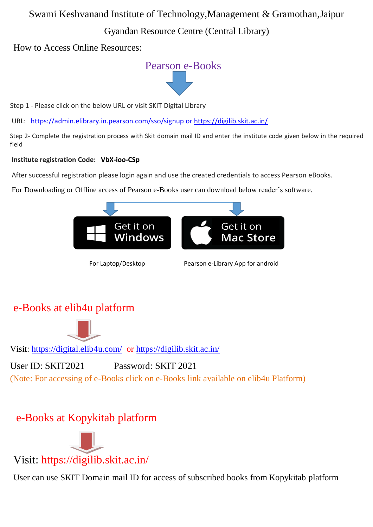## Swami Keshvanand Institute of Technology,Management & Gramothan,Jaipur

## Gyandan Resource Centre (Central Library)

How to Access Online Resources:



Step 1 - Please click on the below URL or visit SKIT Digital Library

URL: <https://admin.elibrary.in.pearson.com/sso/signup> or<https://digilib.skit.ac.in/>

Step 2- Complete the registration process with Skit domain mail ID and enter the institute code given below in the required field

#### **Institute registration Code: VbX-ioo-CSp**

After successful registration please login again and use the created credentials to access Pearson eBooks.

For Downloading or Offline access of Pearson e-Books user can download below reader's software.



For Laptop/Desktop Pearson e-Library App for android

## e-Books at elib4u platform



Visit: <https://digital.elib4u.com/>or<https://digilib.skit.ac.in/>

User ID: SKIT2021 Password: SKIT 2021 (Note: For accessing of e-Books click on e-Books link available on elib4u Platform)

# e-Books at Kopykitab platform



User can use SKIT Domain mail ID for access of subscribed books from Kopykitab platform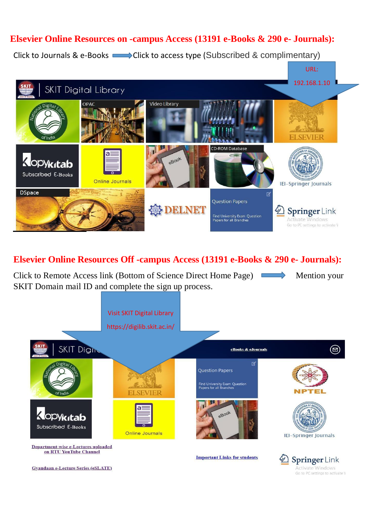## **Elsevier Online Resources on -campus Access (13191 e-Books & 290 e- Journals):**

Click to Journals & e-Books  $\longrightarrow$  Click to access type (Subscribed & complimentary)



#### **Elsevier Online Resources Off -campus Access (13191 e-Books & 290 e- Journals):**

Click to Remote Access link (Bottom of Science Direct Home Page) Mention your SKIT Domain mail ID and complete the sign up process.



Go to PC settings to activate V

**Gyandaan e-Lecture Series (eSLATE)**